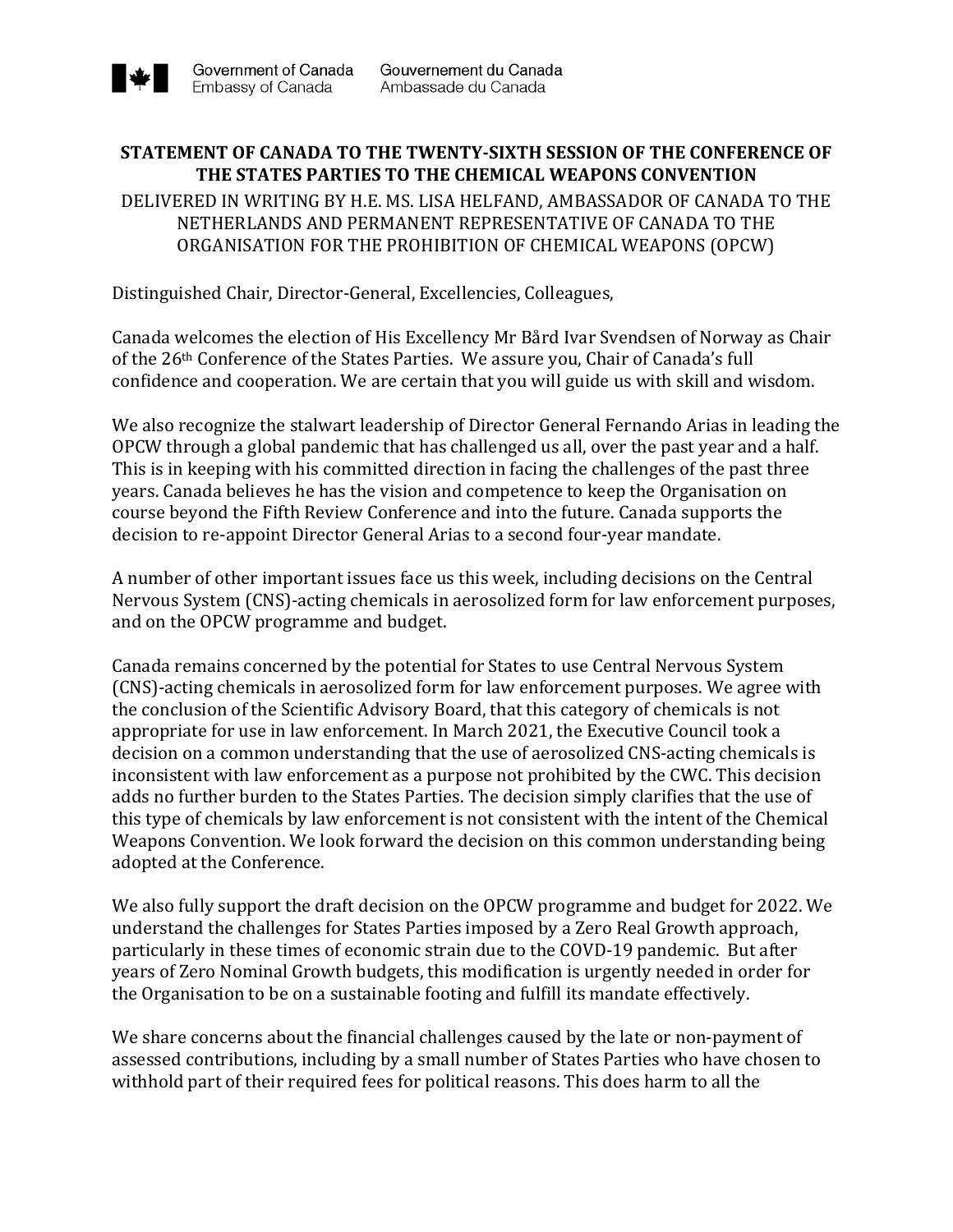## **STATEMENT OF CANADA TO THE TWENTY-SIXTH SESSION OF THE CONFERENCE OF THE STATES PARTIES TO THE CHEMICAL WEAPONS CONVENTION**

DELIVERED IN WRITING BY H.E. MS. LISA HELFAND, AMBASSADOR OF CANADA TO THE NETHERLANDS AND PERMANENT REPRESENTATIVE OF CANADA TO THE ORGANISATION FOR THE PROHIBITION OF CHEMICAL WEAPONS (OPCW)

Distinguished Chair, Director-General, Excellencies, Colleagues,

Canada welcomes the election of His Excellency Mr Bård Ivar Svendsen of Norway as Chair of the 26<sup>th</sup> Conference of the States Parties. We assure you, Chair of Canada's full confidence and cooperation. We are certain that you will guide us with skill and wisdom.

We also recognize the stalwart leadership of Director General Fernando Arias in leading the OPCW through a global pandemic that has challenged us all, over the past year and a half. This is in keeping with his committed direction in facing the challenges of the past three years. Canada believes he has the vision and competence to keep the Organisation on course beyond the Fifth Review Conference and into the future. Canada supports the decision to re-appoint Director General Arias to a second four-year mandate.

A number of other important issues face us this week, including decisions on the Central Nervous System (CNS)-acting chemicals in aerosolized form for law enforcement purposes, and on the OPCW programme and budget.

Canada remains concerned by the potential for States to use Central Nervous System (CNS)-acting chemicals in aerosolized form for law enforcement purposes. We agree with the conclusion of the Scientific Advisory Board, that this category of chemicals is not appropriate for use in law enforcement. In March 2021, the Executive Council took a decision on a common understanding that the use of aerosolized CNS-acting chemicals is inconsistent with law enforcement as a purpose not prohibited by the CWC. This decision adds no further burden to the States Parties. The decision simply clarifies that the use of this type of chemicals by law enforcement is not consistent with the intent of the Chemical Weapons Convention. We look forward the decision on this common understanding being adopted at the Conference.

We also fully support the draft decision on the OPCW programme and budget for 2022. We understand the challenges for States Parties imposed by a Zero Real Growth approach, particularly in these times of economic strain due to the COVD-19 pandemic. But after years of Zero Nominal Growth budgets, this modification is urgently needed in order for the Organisation to be on a sustainable footing and fulfill its mandate effectively.

We share concerns about the financial challenges caused by the late or non-payment of assessed contributions, including by a small number of States Parties who have chosen to withhold part of their required fees for political reasons. This does harm to all the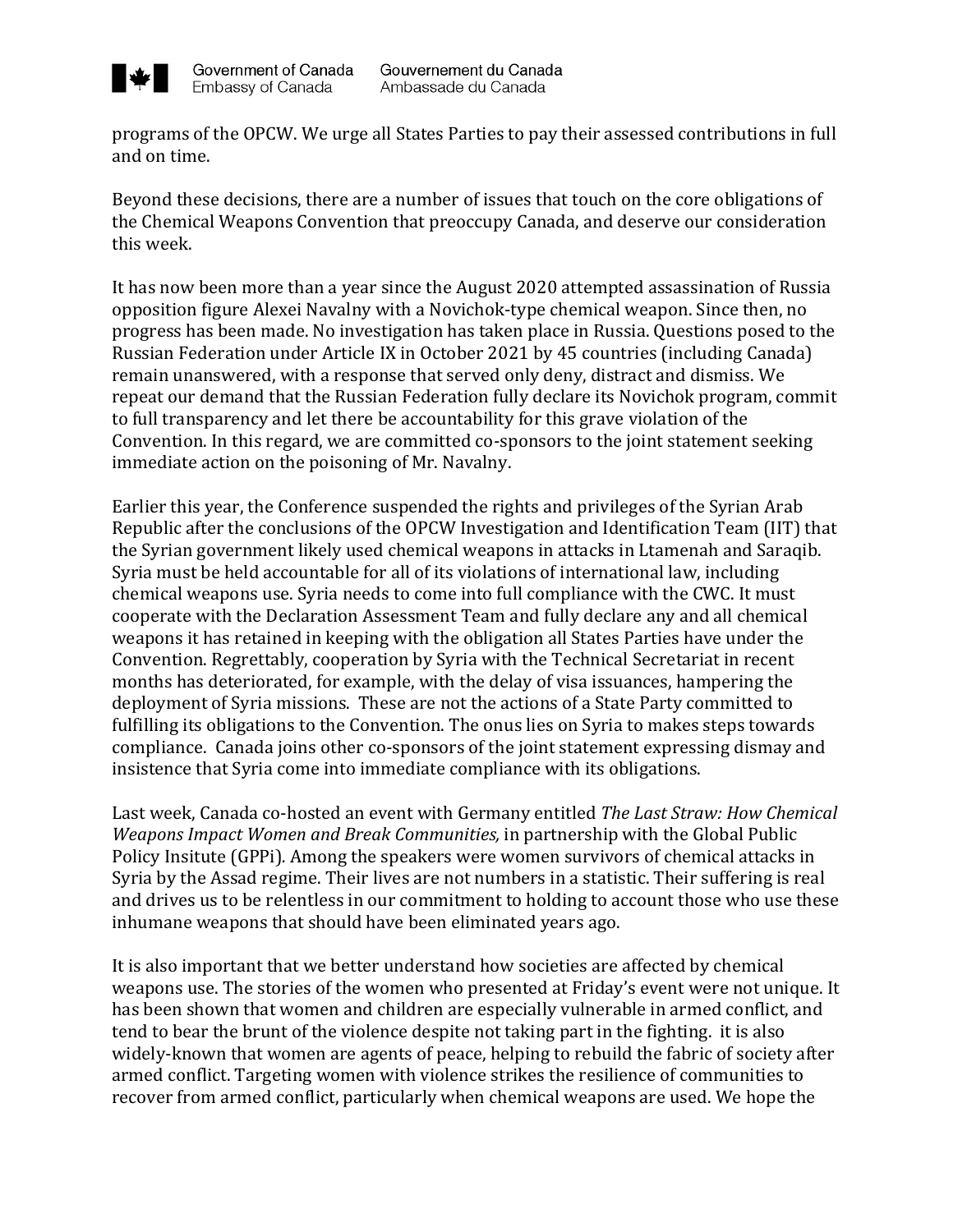

programs of the OPCW. We urge all States Parties to pay their assessed contributions in full and on time.

Beyond these decisions, there are a number of issues that touch on the core obligations of the Chemical Weapons Convention that preoccupy Canada, and deserve our consideration this week.

It has now been more than a year since the August 2020 attempted assassination of Russia opposition figure Alexei Navalny with a Novichok-type chemical weapon. Since then, no progress has been made. No investigation has taken place in Russia. Questions posed to the Russian Federation under Article IX in October 2021 by 45 countries (including Canada) remain unanswered, with a response that served only deny, distract and dismiss. We repeat our demand that the Russian Federation fully declare its Novichok program, commit to full transparency and let there be accountability for this grave violation of the Convention. In this regard, we are committed co-sponsors to the joint statement seeking immediate action on the poisoning of Mr. Navalny.

Earlier this year, the Conference suspended the rights and privileges of the Syrian Arab Republic after the conclusions of the OPCW Investigation and Identification Team (IIT) that the Syrian government likely used chemical weapons in attacks in Ltamenah and Saraqib. Syria must be held accountable for all of its violations of international law, including chemical weapons use. Syria needs to come into full compliance with the CWC. It must cooperate with the Declaration Assessment Team and fully declare any and all chemical weapons it has retained in keeping with the obligation all States Parties have under the Convention. Regrettably, cooperation by Syria with the Technical Secretariat in recent months has deteriorated, for example, with the delay of visa issuances, hampering the deployment of Syria missions. These are not the actions of a State Party committed to fulfilling its obligations to the Convention. The onus lies on Syria to makes steps towards compliance. Canada joins other co-sponsors of the joint statement expressing dismay and insistence that Syria come into immediate compliance with its obligations.

Last week, Canada co-hosted an event with Germany entitled The Last Straw: How Chemical *Weapons Impact Women and Break Communities,* in partnership with the Global Public Policy Insitute (GPPi). Among the speakers were women survivors of chemical attacks in Syria by the Assad regime. Their lives are not numbers in a statistic. Their suffering is real and drives us to be relentless in our commitment to holding to account those who use these inhumane weapons that should have been eliminated years ago.

It is also important that we better understand how societies are affected by chemical weapons use. The stories of the women who presented at Friday's event were not unique. It has been shown that women and children are especially vulnerable in armed conflict, and tend to bear the brunt of the violence despite not taking part in the fighting. it is also widely-known that women are agents of peace, helping to rebuild the fabric of society after armed conflict. Targeting women with violence strikes the resilience of communities to recover from armed conflict, particularly when chemical weapons are used. We hope the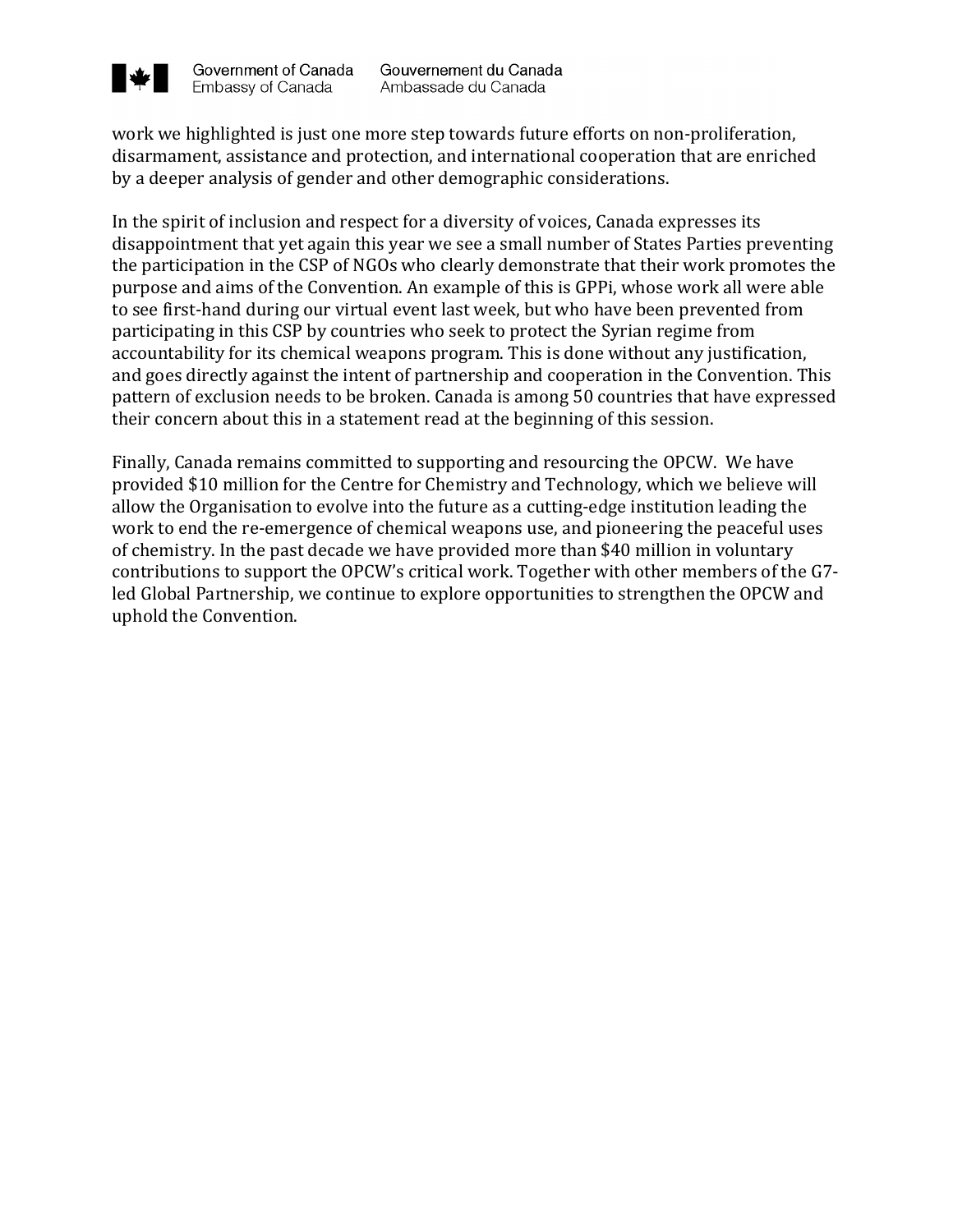

work we highlighted is just one more step towards future efforts on non-proliferation, disarmament, assistance and protection, and international cooperation that are enriched by a deeper analysis of gender and other demographic considerations.

In the spirit of inclusion and respect for a diversity of voices, Canada expresses its disappointment that yet again this year we see a small number of States Parties preventing the participation in the CSP of NGOs who clearly demonstrate that their work promotes the purpose and aims of the Convention. An example of this is GPPi, whose work all were able to see first-hand during our virtual event last week, but who have been prevented from participating in this CSP by countries who seek to protect the Syrian regime from accountability for its chemical weapons program. This is done without any justification, and goes directly against the intent of partnership and cooperation in the Convention. This pattern of exclusion needs to be broken. Canada is among 50 countries that have expressed their concern about this in a statement read at the beginning of this session.

Finally, Canada remains committed to supporting and resourcing the OPCW. We have provided \$10 million for the Centre for Chemistry and Technology, which we believe will allow the Organisation to evolve into the future as a cutting-edge institution leading the work to end the re-emergence of chemical weapons use, and pioneering the peaceful uses of chemistry. In the past decade we have provided more than \$40 million in voluntary contributions to support the OPCW's critical work. Together with other members of the G7led Global Partnership, we continue to explore opportunities to strengthen the OPCW and uphold the Convention.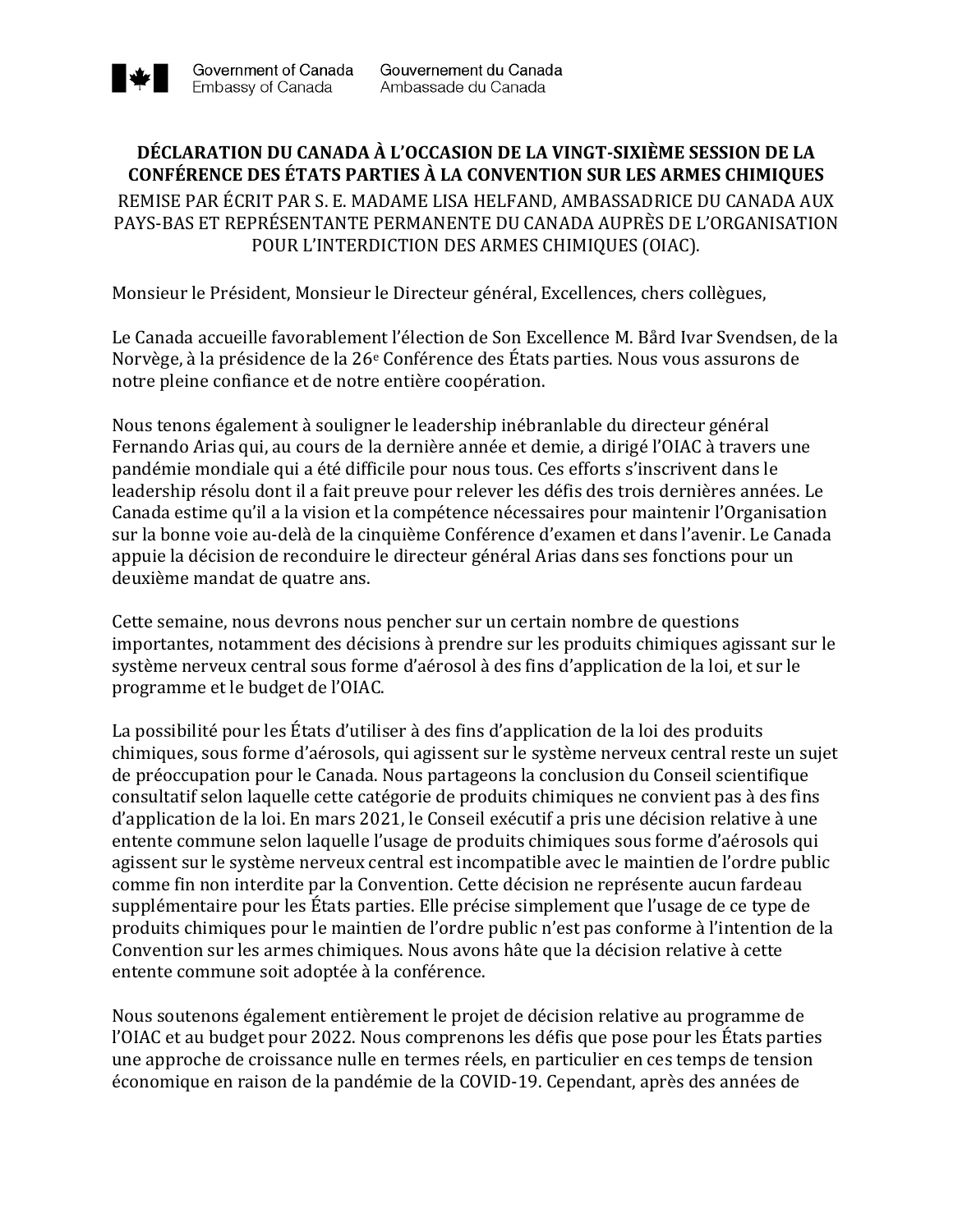

## **DÉCLARATION DU CANADA À L'OCCASION DE LA VINGT-SIXIÈME SESSION DE LA CONFÉRENCE DES ÉTATS PARTIES À LA CONVENTION SUR LES ARMES CHIMIQUES**

REMISE PAR ÉCRIT PAR S. E. MADAME LISA HELFAND, AMBASSADRICE DU CANADA AUX PAYS-BAS ET REPRÉSENTANTE PERMANENTE DU CANADA AUPRÈS DE L'ORGANISATION POUR L'INTERDICTION DES ARMES CHIMIQUES (OIAC).

Monsieur le Président, Monsieur le Directeur général, Excellences, chers collègues,

Le Canada accueille favorablement l'élection de Son Excellence M. Bård Ivar Svendsen, de la Norvège, à la présidence de la  $26^e$  Conférence des États parties. Nous vous assurons de notre pleine confiance et de notre entière coopération.

Nous tenons également à souligner le leadership inébranlable du directeur général Fernando Arias qui, au cours de la dernière année et demie, a dirigé l'OIAC à travers une pandémie mondiale qui a été difficile pour nous tous. Ces efforts s'inscrivent dans le leadership résolu dont il a fait preuve pour relever les défis des trois dernières années. Le Canada estime qu'il a la vision et la compétence nécessaires pour maintenir l'Organisation sur la bonne voie au-delà de la cinquième Conférence d'examen et dans l'avenir. Le Canada appuie la décision de reconduire le directeur général Arias dans ses fonctions pour un deuxième mandat de quatre ans.

Cette semaine, nous devrons nous pencher sur un certain nombre de questions importantes, notamment des décisions à prendre sur les produits chimiques agissant sur le système nerveux central sous forme d'aérosol à des fins d'application de la loi, et sur le programme et le budget de l'OIAC.

La possibilité pour les États d'utiliser à des fins d'application de la loi des produits chimiques, sous forme d'aérosols, qui agissent sur le système nerveux central reste un sujet de préoccupation pour le Canada. Nous partageons la conclusion du Conseil scientifique consultatif selon laquelle cette catégorie de produits chimiques ne convient pas à des fins d'application de la loi. En mars 2021, le Conseil exécutif a pris une décision relative à une entente commune selon laquelle l'usage de produits chimiques sous forme d'aérosols qui agissent sur le système nerveux central est incompatible avec le maintien de l'ordre public comme fin non interdite par la Convention. Cette décision ne représente aucun fardeau supplémentaire pour les États parties. Elle précise simplement que l'usage de ce type de produits chimiques pour le maintien de l'ordre public n'est pas conforme à l'intention de la Convention sur les armes chimiques. Nous avons hâte que la décision relative à cette entente commune soit adoptée à la conférence.

Nous soutenons également entièrement le projet de décision relative au programme de l'OIAC et au budget pour 2022. Nous comprenons les défis que pose pour les États parties une approche de croissance nulle en termes réels, en particulier en ces temps de tension économique en raison de la pandémie de la COVID-19. Cependant, après des années de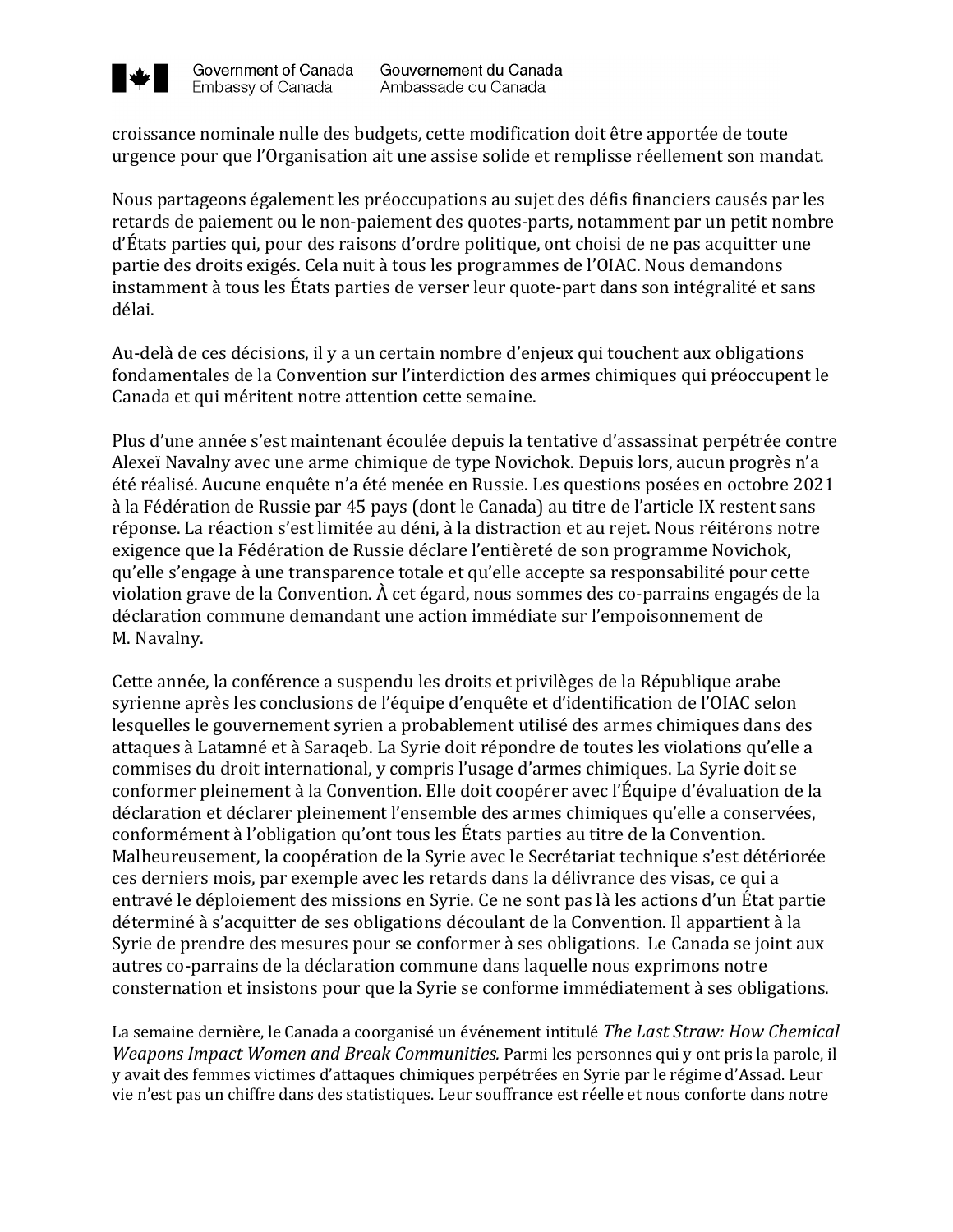

croissance nominale nulle des budgets, cette modification doit être apportée de toute urgence pour que l'Organisation ait une assise solide et remplisse réellement son mandat.

Nous partageons également les préoccupations au sujet des défis financiers causés par les retards de paiement ou le non-paiement des quotes-parts, notamment par un petit nombre d'États parties qui, pour des raisons d'ordre politique, ont choisi de ne pas acquitter une partie des droits exigés. Cela nuit à tous les programmes de l'OIAC. Nous demandons instamment à tous les États parties de verser leur quote-part dans son intégralité et sans délai.

Au-delà de ces décisions, il y a un certain nombre d'enjeux qui touchent aux obligations fondamentales de la Convention sur l'interdiction des armes chimiques qui préoccupent le Canada et qui méritent notre attention cette semaine.

Plus d'une année s'est maintenant écoulée depuis la tentative d'assassinat perpétrée contre Alexeï Navalny avec une arme chimique de type Novichok. Depuis lors, aucun progrès n'a été réalisé. Aucune enquête n'a été menée en Russie. Les questions posées en octobre 2021 à la Fédération de Russie par 45 pays (dont le Canada) au titre de l'article IX restent sans réponse. La réaction s'est limitée au déni, à la distraction et au rejet. Nous réitérons notre exigence que la Fédération de Russie déclare l'entièreté de son programme Novichok, qu'elle s'engage à une transparence totale et qu'elle accepte sa responsabilité pour cette violation grave de la Convention. À cet égard, nous sommes des co-parrains engagés de la déclaration commune demandant une action immédiate sur l'empoisonnement de M. Navalny.

Cette année, la conférence a suspendu les droits et privilèges de la République arabe syrienne après les conclusions de l'équipe d'enquête et d'identification de l'OIAC selon lesquelles le gouvernement syrien a probablement utilisé des armes chimiques dans des attaques à Latamné et à Saraqeb. La Syrie doit répondre de toutes les violations qu'elle a commises du droit international, y compris l'usage d'armes chimiques. La Syrie doit se conformer pleinement à la Convention. Elle doit coopérer avec l'Équipe d'évaluation de la déclaration et déclarer pleinement l'ensemble des armes chimiques qu'elle a conservées, conformément à l'obligation qu'ont tous les États parties au titre de la Convention. Malheureusement, la coopération de la Syrie avec le Secrétariat technique s'est détériorée ces derniers mois, par exemple avec les retards dans la délivrance des visas, ce qui a entravé le déploiement des missions en Syrie. Ce ne sont pas là les actions d'un État partie déterminé à s'acquitter de ses obligations découlant de la Convention. Il appartient à la Syrie de prendre des mesures pour se conformer à ses obligations. Le Canada se joint aux autres co-parrains de la déclaration commune dans laquelle nous exprimons notre consternation et insistons pour que la Syrie se conforme immédiatement à ses obligations.

La semaine dernière, le Canada a coorganisé un événement intitulé *The Last Straw: How Chemical Weapons Impact Women and Break Communities.* Parmi les personnes qui y ont pris la parole, il y avait des femmes victimes d'attaques chimiques perpétrées en Syrie par le régime d'Assad. Leur vie n'est pas un chiffre dans des statistiques. Leur souffrance est réelle et nous conforte dans notre